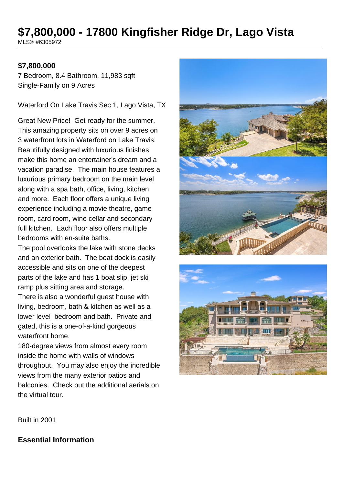# **\$7,800,000 - 17800 Kingfisher Ridge Dr, Lago Vista**

MLS® #6305972

### **\$7,800,000**

7 Bedroom, 8.4 Bathroom, 11,983 sqft Single-Family on 9 Acres

Waterford On Lake Travis Sec 1, Lago Vista, TX

Great New Price! Get ready for the summer. This amazing property sits on over 9 acres on 3 waterfront lots in Waterford on Lake Travis. Beautifully designed with luxurious finishes make this home an entertainer's dream and a vacation paradise. The main house features a luxurious primary bedroom on the main level along with a spa bath, office, living, kitchen and more. Each floor offers a unique living experience including a movie theatre, game room, card room, wine cellar and secondary full kitchen. Each floor also offers multiple bedrooms with en-suite baths.

The pool overlooks the lake with stone decks and an exterior bath. The boat dock is easily accessible and sits on one of the deepest parts of the lake and has 1 boat slip, jet ski ramp plus sitting area and storage.

There is also a wonderful guest house with living, bedroom, bath & kitchen as well as a lower level bedroom and bath. Private and gated, this is a one-of-a-kind gorgeous waterfront home.

180-degree views from almost every room inside the home with walls of windows throughout. You may also enjoy the incredible views from the many exterior patios and balconies. Check out the additional aerials on the virtual tour.





Built in 2001

### **Essential Information**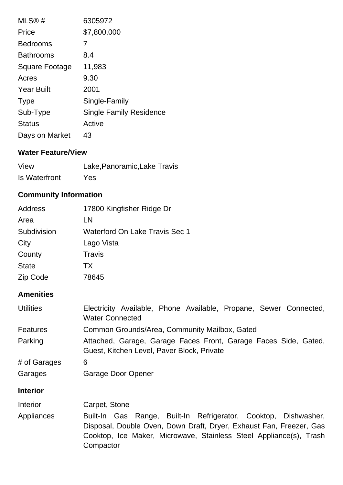| MLS®#                 | 6305972                        |
|-----------------------|--------------------------------|
| Price                 | \$7,800,000                    |
| <b>Bedrooms</b>       | 7                              |
| <b>Bathrooms</b>      | 8.4                            |
| <b>Square Footage</b> | 11,983                         |
| Acres                 | 9.30                           |
| <b>Year Built</b>     | 2001                           |
| <b>Type</b>           | Single-Family                  |
| Sub-Type              | <b>Single Family Residence</b> |
| <b>Status</b>         | Active                         |
| Days on Market        | 43                             |

# **Water Feature/View**

| View                 | Lake, Panoramic, Lake Travis |
|----------------------|------------------------------|
| <b>Is Waterfront</b> | Yes                          |

# **Community Information**

| <b>Address</b> | 17800 Kingfisher Ridge Dr             |
|----------------|---------------------------------------|
| Area           | LN                                    |
| Subdivision    | <b>Waterford On Lake Travis Sec 1</b> |
| City           | Lago Vista                            |
| County         | Travis                                |
| <b>State</b>   | ТX                                    |
| Zip Code       | 78645                                 |

## **Amenities**

| <b>Utilities</b> | Electricity Available, Phone Available, Propane, Sewer Connected,<br><b>Water Connected</b>                   |  |  |
|------------------|---------------------------------------------------------------------------------------------------------------|--|--|
| <b>Features</b>  | Common Grounds/Area, Community Mailbox, Gated                                                                 |  |  |
| Parking          | Attached, Garage, Garage Faces Front, Garage Faces Side, Gated,<br>Guest, Kitchen Level, Paver Block, Private |  |  |
| # of Garages     | 6                                                                                                             |  |  |
| Garages          | Garage Door Opener                                                                                            |  |  |

## **Interior**

| <b>Interior</b> | Carpet, Stone                                                                                                                                                                                                             |
|-----------------|---------------------------------------------------------------------------------------------------------------------------------------------------------------------------------------------------------------------------|
| Appliances      | Built-In Gas Range, Built-In Refrigerator, Cooktop, Dishwasher,<br>Disposal, Double Oven, Down Draft, Dryer, Exhaust Fan, Freezer, Gas<br>Cooktop, Ice Maker, Microwave, Stainless Steel Appliance(s), Trash<br>Compactor |